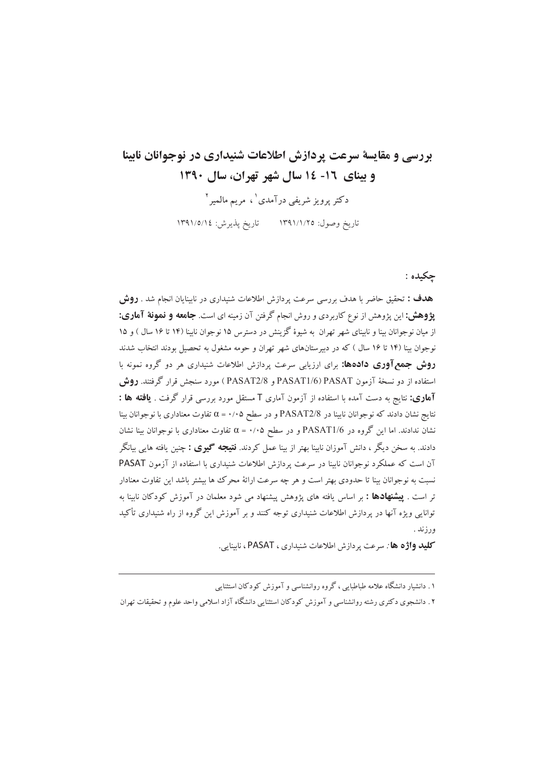## بررسی و مقایسهٔ سرعت پردازش اطلاعات شنیداری در نوجوانان نابینا و بینای ١٦- ١٤ سال شهر تهران، سال ١٣٩٠

دکتر پرویز شریفی درآمدی'، مریم مالمیر<sup>۲</sup> تاريخ وصول: ١٣٩١/١/٢٥ تاريخ پذيرش: ١٣٩١/٥/١٤

## حکىدە :

هدف : تحقیق حاضر با هدف بررسی سرعت پردازش اطلاعات شنیداری در نابینایان انجام شد . **روش یژوهش:** این پژوهش از نوع کاربردی و روش انجام گرفتن آن زمینه ای است. **جامعه و نمونهٔ آماری:** از میان نوجوانان بینا و نابینای شهر تهران به شیوهٔ گزینش در دسترس ۱۵ نوجوان نابینا (۱۴ تا ۱۶ سال ) و ۱۵ نوجوان بینا (۱۴ تا ۱۶ سال ) که در دبیرستانهای شهر تهران و حومه مشغول به تحصیل بودند انتخاب شدند **روش جمع آوری دادهها:** برای ارزیابی سرعت پردازش اطلاعات شنیداری هر دو گروه نمونه با استفاده از دو نسخهٔ آزمون PASAT1/6) PASAT و PASAT2/8) مورد سنجش قرار گرفتند. **روش** آه**اری:** نتایج به دست آمده با استفاده از آزمون آماری T مستقل مورد بررسی قرار گرفت . **یافته ها :** نتايج نشان دادند كه نوجوانان نابينا در PASAT2/8 و در سطح ۰/۰۵ = α تفاوت معناداري با نوجوانان بينا نشان ندادند. اما این گروه در PASAT1/6 و در سطح ۰/۰۵+ = c تفاوت معناداری با نوجوانان بینا نشان دادند. به سخن دیگر ، دانش آموزان نابینا بهتر از بینا عمل کردند. **نتیجه گیوی :** چنین یافته هایی بیانگر آن است که عملکرد نوجوانان نابینا در سرعت پردازش اطلاعات شنیداری با استفاده از آزمون PASAT نسبت به نوجوانان بینا تا حدودی بهتر است و هر چه سرعت ارائهٔ محرک ها بیشتر باشد این تفاوت معنادار تر است . **پیشنهادها :** بر اساس یافته های پژوهش پیشنهاد می شود معلمان در آموزش کودکان نابینا به توانایی ویژه آنها در پردازش اطلاعات شنیداری توجه کنند و بر آموزش این گروه از راه شنیداری تأکید ورزند .

كليد واژه ها : سرعت يردازش اطلاعات شنيداري ، PASAT ، نابينايي.

۱. دانشبار دانشگاه علامه طباطبایی، گروه روانشناسی و آموزش کودکان استثنایی

۲ . دانشجوی دکتری رشته روانشناسی و آموزش کودکان استثنایی دانشگاه آزاد اسلامی واحد علوم و تحقیقات تهران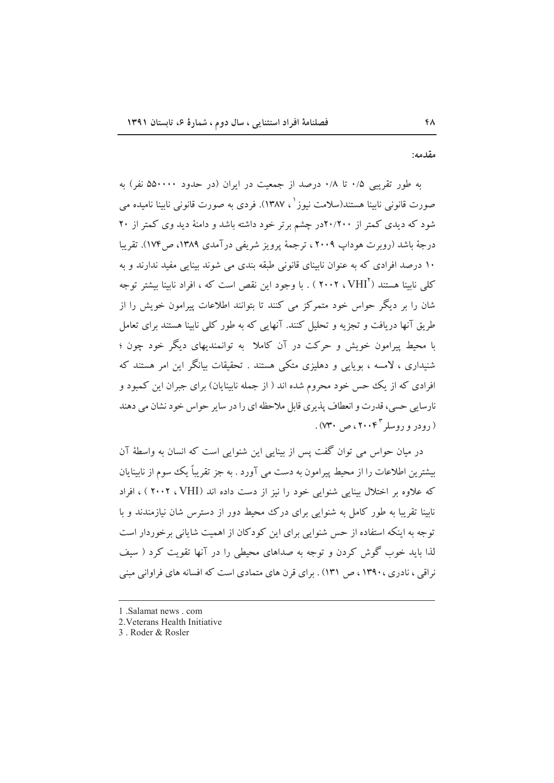مقدمه:

به طور تقریبی ۰/۵ تا ۰/۸ درصد از جمعیت در ایران (در حدود ۵۵۰۰۰۰ نفر) به صورت قانونی ناسنا هستند(سلامت نیوز`، ۱۳۸۷). فردی به صورت قانونی ناسنا نامیده می شود که دیدی کمتر از ۲۰/۲۰۰در چشم برتر خود داشته باشد و دامنهٔ دید وی کمتر از ۲۰ درجهٔ باشد (روبرت هوداب ۲۰۰۹ ، ترجمهٔ پرویز شریفی درآمدی ۱۳۸۹، ص۱۷۴). تقریبا ۱۰ درصد افرادی که به عنوان نابینای قانونی طبقه بندی می شوند بینایی مفید ندارند و به کلبی نابینا هستند ( ٔVHI ، ۲۰۰۲ ) . با وجود این نقص است که ، افراد نابینا بیشتر توجه شان را بر دیگر حواس خود متمرکز می کنند تا بتوانند اطلاعات پیرامون خویش را از طریق آنها دریافت و تجزیه و تحلیل کنند. آنهایی که به طور کلی نابینا هستند برای تعامل با محیط پیرامون خویش و حرکت در آن کاملا به توانمندیهای دیگر خود چون ؛ شنیداری ، لامسه ، بویایی و دهلیزی متکی هستند . تحقیقات بیانگر این امر هستند که افرادی که از یک حس خود محروم شده اند ( از جمله نابینایان) برای جبران این کمبود و نارسایے ,حسی، قدرت و انعطاف پذیری قابل ملاحظه ای را در سایر حواس خود نشان می دهند . (۶۹ و دو ووسلږ ۲۰۰۴<sup>۳</sup> مي ۷۳۰) .

در میان حواس می توان گفت پس از بینایی این شنوایی است که انسان به واسطهٔ آن بیشترین اطلاعات را از محیط پیرامون به دست می آورد . به جز تقریباً یک سوم از نابینایان که علاوه بر اختلال بینایی شنوایی خود را نیز از دست داده اند (VHI ، ۲۰۰۲ ) ، افراد نابینا تقریبا به طور کامل به شنوایی برای درک محیط دور از دسترس شان نیازمندند و با توجه به اینکه استفاده از حس شنوایی برای این کودکان از اهمیت شایانی برخوردار است لذا باید خوب گوش کردن و توجه به صداهای محیطی را در آنها تقویت کرد ( سیف نراقی ، نادری ، ۱۳۹۰ ، ص ۱۳۱) . برای قرن های متمادی است که افسانه های فراوانی مبنی

<sup>1.</sup> Salamat news . com

<sup>2.</sup> Veterans Health Initiative

<sup>3.</sup> Roder & Rosler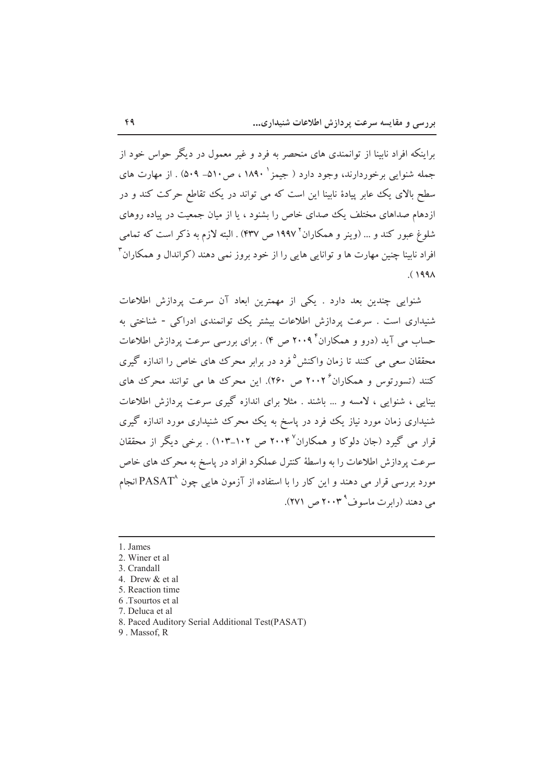براینکه افراد نابینا از توانمندی های منحصر به فرد و غیر معمول در دیگر حواس خود از جمله شنوایی برخوردارند، وجود دارد ( جیمز ' ۱۸۹۰ ، ص ۵۱۰– ۵۰۹) . از مهارت های سطح بالای یک عابر پیادهٔ نابینا این است که می تواند در یک تقاطع حرکت کند و در ازدهام صداهای مختلف یک صدای خاص را بشنود ، یا از میان جمعیت در پیاده روهای شلوغ عبور کند و … (وینر و همکاران ۱۹۹۷ ص ۴۳۷) . البته لازم به ذکر است که تمامی افراد نابینا چنین مهارت ها و توانایی هایی را از خود بروز نمی دهند (کراندال و همکاران ٔ  $(199)$ 

شنوایی چندین بعد دارد . یکی از مهمترین ابعاد آن سرعت پردازش اطلاعات شنیداری است . سرعت پردازش اطلاعات بیشتر یک توانمندی ادراکی - شناختی به حساب می آید (درو و همکاران ۲۰۰۹ ص ۴) . برای بررسی سرعت پردازش اطلاعات محققان سعی می کنند تا زمان واکنش<sup>۵</sup> فرد در برابر محرک های خاص را اندازه گیری کنند (تسورتوس و همکاران ۲۰۰۲ ص ۲۶۰). این محرک ها می توانند محرک های بینایی ، شنوایی ، لامسه و … باشند . مثلاً برای اندازه گیری سرعت پردازش اطلاعات شنیداری زمان مورد نیاز یک فود در پاسخ به یک محرک شنیداری مورد اندازه گیری قرار می گیرد (جان دلوکا و همکاران۲۰۰۴ ص ۱۰۲–۱۰۳) . برخی دیگر از محققان سرعت پردازش اطلاعات را به واسطهٔ کنترل عملکرد افراد در پاسخ به محرک های خاص مورد بررسی قرار می دهند و این کار را با استفاده از آزمون هایی چون ^PASAT انجام می دهند (رابرت ماسوف<sup>۹</sup>۳۰۰۳ ص ۲۷۱).

- 1. James
- 2. Winer et al.
- 3. Crandall
- 4. Drew & et al.
- 5. Reaction time
- 6. Tsourtos et al.
- 7. Deluca et al.
- 8. Paced Auditory Serial Additional Test(PASAT)
- 9. Massof, R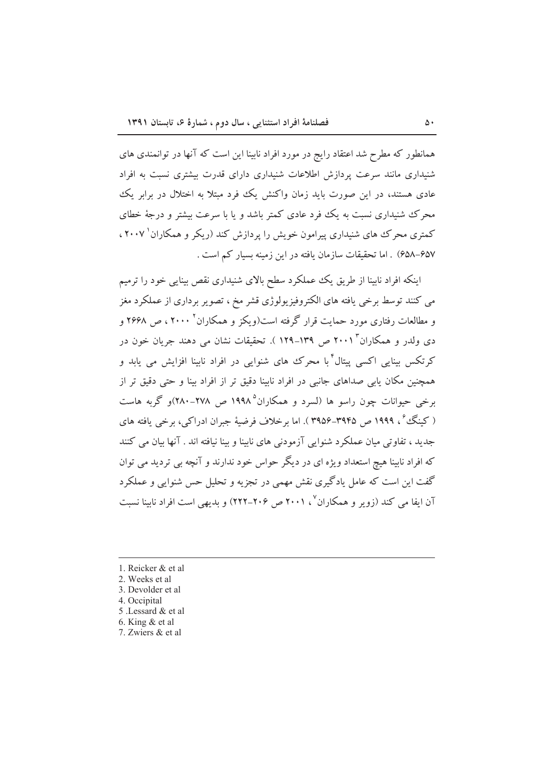همانطور که مطرح شد اعتقاد رایج در مورد افراد نابینا این است که آنها در توانمندی های شنیداری مانند سرعت پردازش اطلاعات شنیداری دارای قدرت بیشتری نسبت به افراد عادی هستند، در این صورت باید زمان واکنش یک فرد مبتلا به اختلال در برابر یک محرک شنیداری نسبت به یک فرد عادی کمتر باشد و یا با سرعت بیشتر و درجهٔ خطای کمتری محرک های شنیداری پیرامون خویش را پردازش کند (ریکر و همکاران` ۲۰۰۷، ۶۵۷–۶۵۸) . اما تحقیقات سازمان یافته در این زمینه بسیار کم است .

اینکه افراد نابینا از طریق یک عملکرد سطح بالای شنیداری نقص بینایی خود را ترمیم مي كنند توسط برخي يافته هاي الكتروفيزيولوژي قشر مخ ، تصوير برداري از عملكرد مغز و مطالعات رفتاری مورد حمایت قرار گرفته است(ویکز و همکاران<sup>۲</sup> ۲۰۰۰ ، ص ۲۶۶۸ و دی ولدر و همکاران ۲۰۰۱ ص ۱۳۹–۱۲۹ ). تحقیقات نشان می دهند جریان خون در کرتکس بینایی اکسی پیتال ٔ با محرک های شنوایی در افراد نابینا افزایش می پابد و همچنین مکان پایی صداهای جانبی در افراد نابینا دقیق تر از افراد بینا و حتی دقیق تر از برخی حیوانات چون راسو ها (لسرد و همکاران<sup>۵</sup> ۱۹۹۸ ص ۲۷۸-۲۸۰)و گربه هاست ( کینگ ٌ ، ۱۹۹۹ ص ۳۹۴۵–۳۹۵۶ ). اما برخلاف فرضیهٔ جبران ادراکی، برخی یافته های جدید ، تفاوتی میان عملکرد شنوایی آزمودنی های نابینا و بینا نیافته اند . آنها بیان می کنند که افراد نابینا هیچ استعداد ویژه ای در دیگر حواس خود ندارند و آنچه بی تردید می توان گفت این است که عامل یادگیری نقش مهمی در تجزیه و تحلیل حس شنوایی و عملکرد آن ایفا می کند (زویر و همکاران<sup>۷</sup>، ۲۰۰۱ ص ۲۰۶–۲۲۲) و بدیهی است افراد نابینا نسبت

- 1. Reicker & et al
- 2. Weeks et al
- 3. Devolder et al.
- 4. Occipital
- 5 .Lessard & et al
- 6. King  $&$  et al
- 7. Zwiers & et al.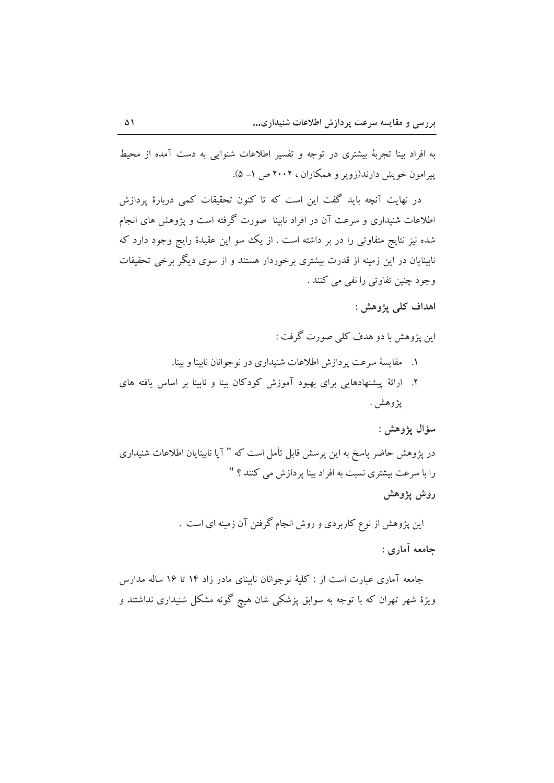به افراد بینا تجربهٔ بیشتری در توجه و تفسیر اطلاعات شنوایی به دست آمده از محیط پیرامون خویش دارند(زویر و همکاران ، ۲۰۰۲ ص ۱- ۵).

در نهایت آنچه باید گفت این است که تا کنون تحقیقات کمی دربارهٔ پردازش اطلاعات شنیداری و سرعت آن در افراد نابینا ً صورت گرفته است و یژوهش های انجام شده نیز نتایج متفاوتی را در بر داشته است . از یک سو این عقیدهٔ رایج وجود دارد که نابینایان در این زمینه از قدرت بیشتری برخوردار هستند و از سوی دیگر برخی تحقیقات وجود چنين تفاوتي را نفي مي كنند .

اهداف کلي يژوهش :

این پژوهش با دو هدف کلمی صورت گرفت :

- ۱. مقايسهٔ سرعت پردازش اطلاعات شنيداري در نوجوانان نابينا و بينا.
- ۲. ارائهٔ پیشنهادهایی برای بهبود آموزش کودکان بینا و نابینا بر اساس یافته های يژوهش .

سؤال يژوهش :

در پژوهش حاضر پاسخ به این پرسش قابل تأمل است که " آیا نابینایان اطلاعات شنیداری را با سرعت بیشتری نسبت به افراد بینا پردازش می کنند ؟ "

روش يژوهش

این پژوهش از نوع کاربردی و روش انجام گرفتن آن زمینه ای است . حامعه آماري :

جامعه آماری عبارت است از : کلیهٔ نوجوانان نابینای مادر زاد ۱۴ تا ۱۶ ساله مدارس ویژهٔ شهر تهران که با توجه به سوابق پزشکی شان هیچ گونه مشکل شنیداری نداشتند و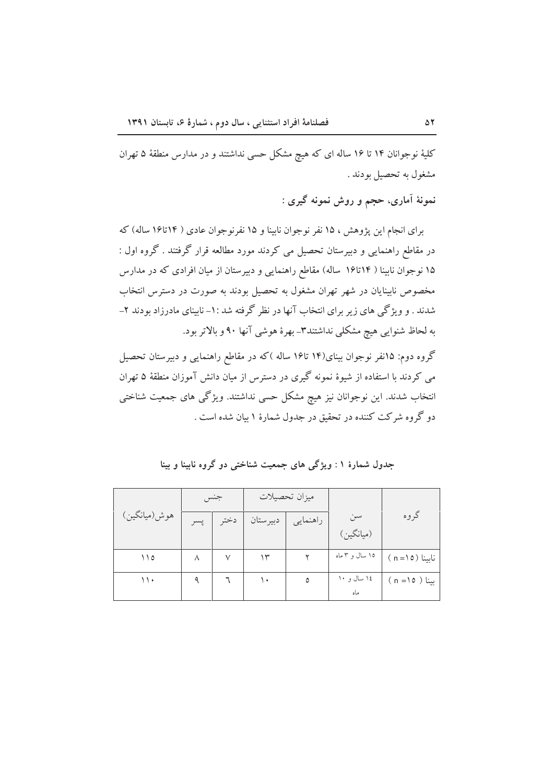کلیهٔ نوجوانان ۱۴ تا ۱۶ ساله ای که هیچ مشکل حسی نداشتند و در مدارس منطقهٔ ۵ تهران مشغول به تحصیل بودند .

نمونهٔ آماری، حجم و روش نمونه گیری :

برای انجام این پژوهش ، ۱۵ نفر نوجوان نابینا و ۱۵ نفرنوجوان عادی ( ۱۴تا۱۶ ساله) که در مقاطع راهنمایی و دبیرستان تحصیل می کردند مورد مطالعه قرار گرفتند . گروه اول : ۱۵ نوجوان نابینا ( ۱۴تا۱۶ ساله) مقاطع راهنمایی و دبیرستان از میان افرادی که در مدارس مخصوص نابینایان در شهر تهران مشغول به تحصیل بودند به صورت در دسترس انتخاب شدند . و ویژگی های زیر برای انتخاب آنها در نظر گرفته شد :۱- نابینای مادرزاد بودند ۲-به لحاظ شنوایی هیچ مشکلی نداشتند۳ـ بهرهٔ هوشی آنها ۹۰ و بالاتر بود.

گروه دوم: ۱۵نفر نوجوان بینای(۱۴ تا۱۶ ساله )که در مقاطع راهنمایی و دبیرستان تحصیل می کردند با استفاده از شیوهٔ نمونه گیری در دسترس از میان دانش آموزان منطقهٔ ۵ تهران انتخاب شدند. این نوجوانان نیز هیچ مشکل حسی نداشتند. ویژگی های جمعیت شناختی دو گروه شرکت کننده در تحقیق در جدول شمارهٔ ۱ بیان شده است .

|              |     |      | ميزان تحصيلات |          |                |                        |
|--------------|-----|------|---------------|----------|----------------|------------------------|
| هوش(ميانگين) | پسر | دختہ | ا دبیرستان    | راهنمایی | سن             | گروه                   |
|              |     |      |               |          | (ميانگين)      |                        |
| ۱۱٥          | ٨   |      | ۱۳            |          | ۱۵ سال و ۳ ماه | $(n = \circ)$ نابينا   |
| ۱۱۰          |     |      | ۱۰            | ٥        | ۱٤ سال و ۱۰    | $(n = \circ)$ بينا ( ه |
|              |     |      |               |          | ماه            |                        |

جدول شمارهٔ ۱ : ویژگی های جمعیت شناختی دو گروه نابینا و بینا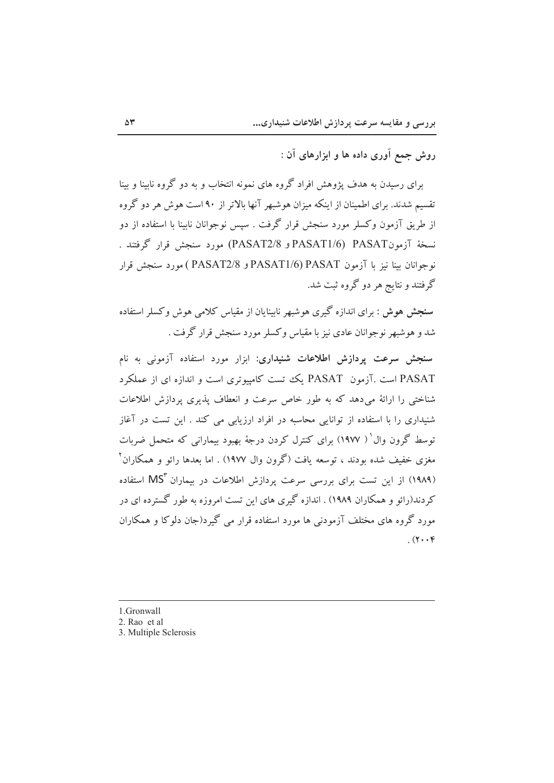روش جمع آوري داده ها و ابزارهاي آن :

برای رسیدن به هدف پژوهش افراد گروه های نمونه انتخاب و به دو گروه ناسنا و سنا تقسیم شدند. برای اطمینان از اینکه میزان هوشبهر آنها بالاتر از ۹۰ است هوش هر دو گروه از طریق آزمون وکسلر مورد سنجش قرار گرفت . سپس نوجوانان ناسنا یا استفاده از دو نسخةَ آزمونPASAT1/6) PASAT و PASAT2/8) مورد سنجش قرار گرفتند . نوجوانان بينا نيز با آزمون PASAT1/6) PASAT و PASAT2/8 ) مورد سنجش قرار گرفتند و نتایج هر دو گروه ثبت شد.

سنجش هوش : برای اندازه گیری هوشبهر نابینایان از مقیاس کلامی هوش وکسلر استفاده شد و هوشبهر نوجوانان عادی نیز با مقیاس وکسلر مورد سنجش قرار گرفت .

سنجش سرعت یردازش اطلاعات شنیداری: ابزار مورد استفاده آزمونی به نام PASAT است .آزمون PASAT یک تست کامپیوتری است و اندازه ای از عملکرد شناختی را ارائهٔ میدهد که به طور خاص سرعت و انعطاف پذیری پردازش اطلاعات شنیداری را با استفاده از توانایی محاسبه در افراد ارزیابی می کند . این تست در آغاز توسط گرون وال' ( ۱۹۷۷) برای کنترل کردن درجهٔ بهبود بیمارانی که متحمل ضربات مغزی خفیف شده بودند ، توسعه یافت (گرون وال ۱۹۷۷) . اما بعدها رائو و همکاران<sup>۲</sup> (۱۹۸۹) از این تست برای بررسی سرعت پردازش اطلاعات در بیماران MS۳ استفاده کردند(رائو و همکاران ۱۹۸۹) . اندازه گیری های این تست امروزه به طور گسترده ای در مورد گروه های مختلف آزمودنی ها مورد استفاده قرار می گیرد(جان دلوکا و همکاران  $(\gamma, \gamma)$ 

- 1. Gronwall
- 2. Rao et al
- 3. Multiple Sclerosis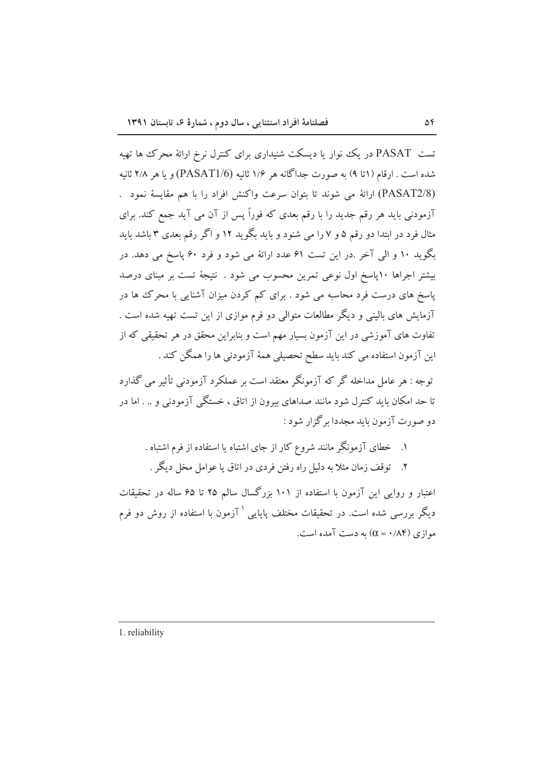تست PASAT در یک نوار یا دیسکت شنیداری برای کنترل نرخ ارائهٔ محرک ها تهیه شده است . ارقام (۱تا ۹) به صورت جداگانه هر ۱/۶ ثانیه (PASAT1/6) و یا هر ۲/۸ ثانیه (PASAT2/8) ارائهٔ می شوند تا بتوان سرعت واکنش افراد را با هم مقایسهٔ نمود . آزمودنی باید هر رقم جدید را با رقم بعدی که فوراً پس از آن می آید جمع کند. برای مثال فرد در ابتدا دو رقم ۵ و ۷ را می شنود و باید بگوید ۱۲ و اگر رقم بعدی ۳ باشد باید بگوید ۱۰ و الی آخر .در این تست ۶۱ عدد ارائهٔ می شود و فرد ۶۰ پاسخ می دهد. در بیشتر اجراها ۱۰ایاسخ اول نوعی تمرین محسوب می شود . نتیجهٔ تست بر مبنای درصد یاسخ های درست فرد محاسبه می شود . برای کم کردن میزان آشنایی با محرک ها در آزمایش های بالینی و دیگر مطالعات متوالی دو فرم موازی از این تست تهیه شده است . تفاوت های آموزشی در این آزمون بسیار مهم است و بنابراین محقق در هر تحقیقی که از این آزمون استفاده می کند باید سطح تحصیلی همهٔ آزمودنی ها را همگن کند .

توجه : هر عامل مداخله گر که آزمونگر معتقد است بر عملکرد آزمودنی تأثیر می گذارد تا حد امکان باید کنترل شود مانند صداهای بیرون از اتاق ، خستگی آزمودنی و … اما در دو صورت آزمون باید مجددا برگزار شود :

- ۱. خطای آزمونگر مانند شروع کار از جای اشتباه یا استفاده از فرم اشتباه .
- ۲. توقف زمان مثلاً به دلیل راه رفتن فردی در اتاق یا عوامل مخل دیگر .

اعتبار و روایی این آزمون با استفاده از ۱۰۱ بزرگسال سالم ۲۵ تا ۶۵ ساله در تحقیقات دیگر بررسی شده است. در تحقیقات مختلف پایایی ` آزمون با استفاده از روش دو فرم  $(0.4)$ موازی (۸۴/ ۰ = )) به دست آمده است.

1. reliability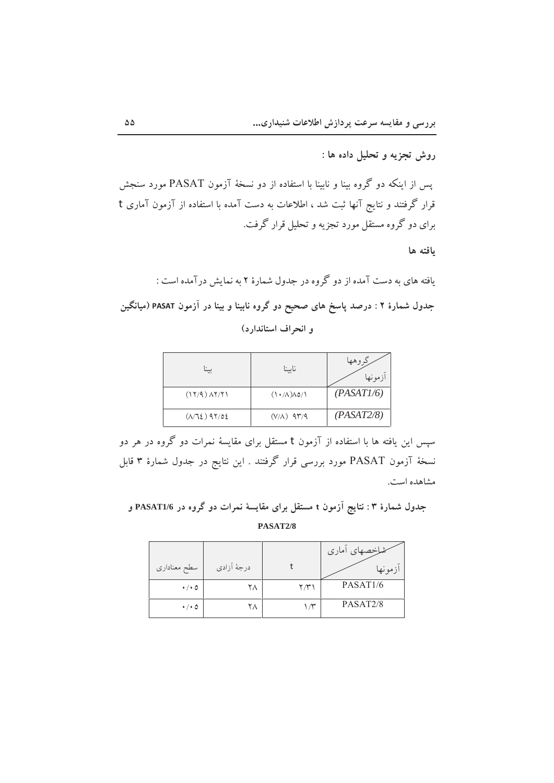یس از اینکه دو گروه بینا و نابینا با استفاده از دو نسخهٔ آزمون PASAT مورد سنجش قرار گرفتند و نتایج آنها ثبت شد ، اطلاعات به دست آمده با استفاده از آزمون آماری t برای دو گروه مستقل مورد تجزیه و تحلیل قرار گرفت.

ىافته ها

یافته های به دست آمده از دو گروه در جدول شمارهٔ ۲ به نمایش درآمده است : جدول شمارهٔ ۲ : درصد پاسخ های صحیح دو گروه نابینا و بینا در آزمون PASAT (میانگین و انحراف استاندارد)

| $\cdots$                  | ناسنا                             | وهها<br>ازمونها |
|---------------------------|-----------------------------------|-----------------|
| $(17/9)$ $\Lambda$ $7/71$ | $(1 \cdot / \Lambda) \Lambda$ 0/1 | (PASATI/6)      |
| $(1/72)$ 97/02            | $(V/A)$ 97/9                      | (PASAT2/8)      |

سیس این یافته ها با استفاده از آزمون t مستقل برای مقایسهٔ نمرات دو گروه در هر دو نسخهٔ آزمون PASAT مورد بررسی قرار گرفتند . این نتایج در جدول شمارهٔ ۳ قابل مشاهده است.

جدول شمارهٔ ۳: نتایج آزمون t مستقل برای مقایسهٔ نمرات دو گروه در PASAT1/6 و PASAT2/8

| سطح معناداري        | درجهٔ آزادی |      | شاخصهای آماری<br>ازمونها |
|---------------------|-------------|------|--------------------------|
| $\cdot$ / $\cdot$ 0 | ٢٨          | ۳/۳۰ | PASAT <sub>1/6</sub>     |
| $\cdot$ / $\cdot$ 0 |             |      | PASAT <sub>2/8</sub>     |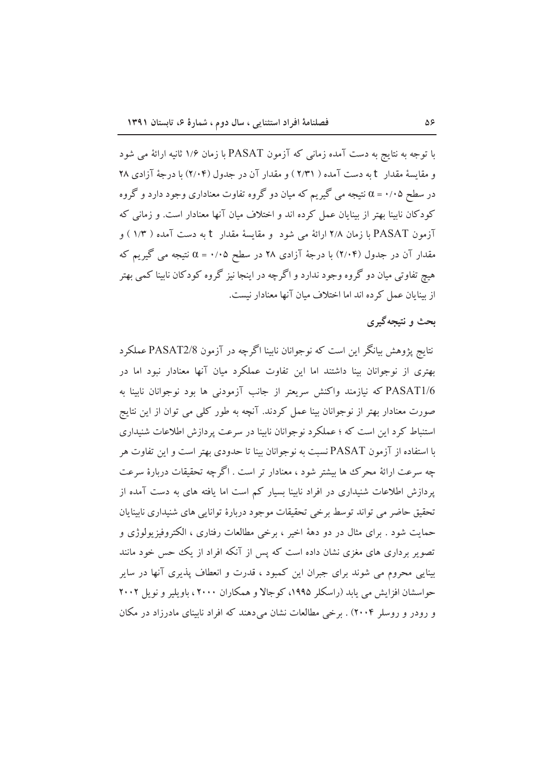با توجه به نتایج به دست آمده زمانی که آزمون PASAT با زمان ۱/۶ ثانیه ارائهٔ می شود و مقايسة مقدار t به دست آمده ( ٢/٣١ ) و مقدار آن در جدول (٢/٠۴) با درجة آزادي ٢٨ در سطح ۰/۰۵ = α نتیجه می گیریم که میان دو گروه تفاوت معناداری وجود دارد و گروه کودکان نابینا بهتر از بینایان عمل کرده اند و اختلاف میان آنها معنادار است. و زمانی که آزمون PASAT با زمان ۲/۸ ارائهٔ می شود و مقایسهٔ مقدار t به دست آمده ( ۱/۳ ) و مقدار آن در جدول (۲/۰۴) با درجهٔ آزادی ۲۸ در سطح ۰/۰۵ = ۵ نتیجه می گیریم که هیچ تفاوتی میان دو گروه وجود ندارد و اگرچه در اینجا نیز گروه کودکان نابینا کمی بهتر از سنایان عمل کرده اند اما اختلاف میان آنها معنادار نیست.

## بحث و نتبجه گېرې

نتايج پژوهش بيانگر اين است كه نوجوانان نابينا اگرچه در آزمون PASAT2/8 عملكرد بهتری از نوجوانان بینا داشتند اما این تفاوت عملکرد میان آنها معنادار نبود اما در PASAT1/6 که نیازمند واکنش سریعتر از جانب آزمودنی ها بود نوجوانان نابینا به صورت معنادار بهتر از نوجوانان بینا عمل کردند. آنچه به طور کلمی می توان از این نتایج استنباط کرد این است که ؛ عملکرد نوجوانان نابینا در سرعت پردازش اطلاعات شنیداری با استفاده از آزمون PASAT نسبت به نوجوانان بینا تا حدودی بهتر است و این تفاوت هر چه سرعت ارائهٔ محرک ها بیشتر شود ، معنادار تر است . اگرچه تحقیقات دربارهٔ سرعت پردازش اطلاعات شنیداری در افراد نابینا بسیار کم است اما یافته های به دست آمده از تحقیق حاضر می تواند توسط برخی تحقیقات موجود دربارهٔ توانایی های شنیداری نابینایان حمايت شود . براي مثال در دو دههٔ اخير ، برخې مطالعات رفتاري ، الکتروفيزيولوژي و تصویر برداری های مغزی نشان داده است که پس از آنکه افراد از یک حس خود مانند بینایی محروم می شوند برای جبران این کمبود ، قدرت و انعطاف پذیری آنها در سایر حواسشان افزایش می یابد (راسکلر ۱۹۹۵، کوجالا و همکاران ۲۰۰۰، باویلیر و نویل ۲۰۰۲ و رودر و روسلر ۲۰۰۴) . برخی مطالعات نشان میدهند که افراد نابینای مادرزاد در مکان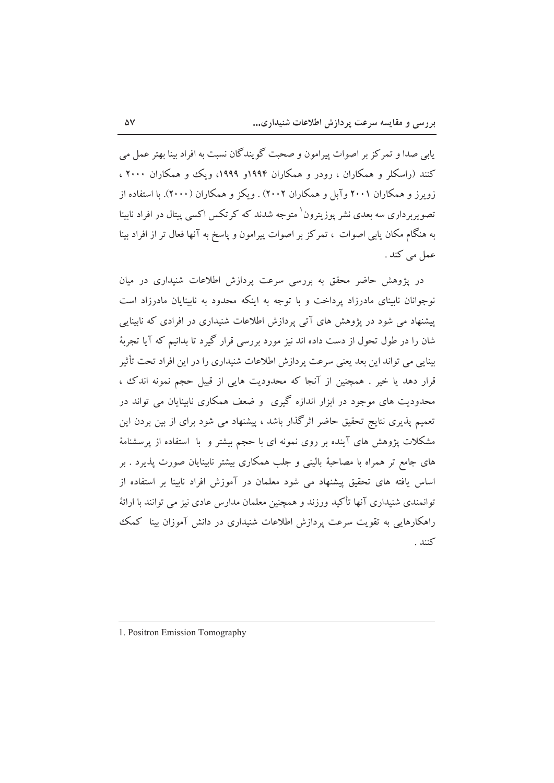بابي صدا و تمر کز پر اصوات پيرامون و صحت گو بندگان نسبت به افراد بينا بهتر عمل مي کنند (راسکلر و همکاران ، رودر و همکاران ۱۹۹۴و ۱۹۹۹، ویک و همکاران ۲۰۰۰ ، زویرز و همکاران ۲۰۰۱ وآبل و همکاران ۲۰۰۲) . ویکز و همکاران (۲۰۰۰). با استفاده از ۔<br>تصویربرداری سه بعدی نشر یوزیترون<sup>\</sup> متوجه شدند که کرتکس اکسی پیتال در افراد نابینا به هنگام مکان یابی اصوات ، تمرکز بر اصوات پیرامون و پاسخ به آنها فعال تر از افراد بینا عمل می کند .

در پژوهش حاضر محقق به بررسی سرعت پردازش اطلاعات شنبداری در مبان نوجوانان ناسای مادرزاد برداخت و با توجه به اینکه محدود به ناسایان مادرزاد است یشنهاد می شود در پژوهش های آتی بردازش اطلاعات شنیداری در افرادی که ناسایی شان را در طول تحول از دست داده اند نیز مورد بررسی قرار گیرد تا پدانیم که آیا تجربهٔ بینایی می تواند این بعد یعنی سرعت پردازش اطلاعات شنیداری را در این افراد تحت تأثیر قرار دهد یا خیر . همچنین از آنجا که محدودیت هایی از قبیل حجم نمونه اندک ، محدودیت های موجود در ابزار اندازه گیری ً و ضعف همکاری نابینایان می تواند در تعمیم پذیری نتایج تحقیق حاضر اثرگذار باشد ، پیشنهاد می شود برای از بین بردن این مشکلات یژوهش های آینده بر روی نمونه ای با حجم بیشتر و با استفاده از پرسشنامهٔ های جامع تر همراه با مصاحبهٔ بالینی و جلب همکاری بیشتر نابینایان صورت پذیرد . بر اساس یافته های تحقیق پیشنهاد می شود معلمان در آموزش افراد نابینا بر استفاده از توانمندی شنیداری آنها تأکید ورزند و همچنین معلمان مدارس عادی نیز می توانند با ارائهٔ راهکارهایی به تقویت سرعت پردازش اطلاعات شنیداری در دانش آموزان بینا کمک كنند .

<sup>1.</sup> Positron Emission Tomography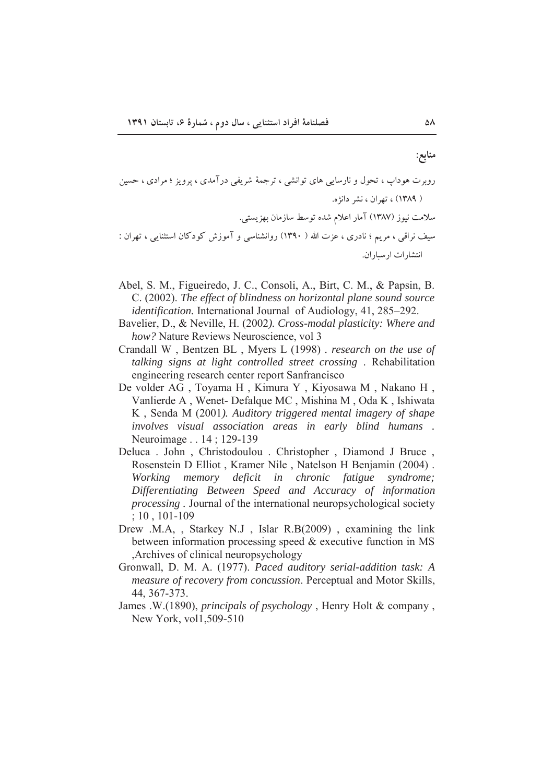منابع:

Tti<'pqS;pE<n)'RSpv Qfp`Rw`<[RS[s)[;7j`?'"p];) :J'pw9p` RatSq]9[\*[s~s`:nv8)[ \*T\_s 9p`RS[das9[L'L,\*;Rs[w;)  U"q<)'[SpRpTs 9)[^s)")[wa

- Abel, S. M., Figueiredo, J. C., Consoli, A., Birt, C. M., & Papsin, B. C. (2002). *The effect of blindness on horizontal plane sound source identification.* International Journal of Audiology, 41, 285–292.
- Bavelier, D., & Neville, H. (2002*). Cross-modal plasticity: Where and how?* Nature Reviews Neuroscience, vol 3
- Crandall W , Bentzen BL , Myers L (1998) *. research on the use of talking signs at light controlled street crossing* . Rehabilitation engineering research center report Sanfrancisco
- De volder AG , Toyama H , Kimura Y , Kiyosawa M , Nakano H , Vanlierde A , Wenet- Defalque MC , Mishina M , Oda K , Ishiwata K , Senda M (2001*). Auditory triggered mental imagery of shape involves visual association areas in early blind humans .* Neuroimage . . 14 ; 129-139
- Deluca . John , Christodoulou . Christopher , Diamond J Bruce , Rosenstein D Elliot , Kramer Nile , Natelson H Benjamin (2004) . *Working memory deficit in chronic fatigue syndrome; Differentiating Between Speed and Accuracy of information processing .* Journal of the international neuropsychological society ; 10 , 101-109
- Drew .M.A, , Starkey N.J , Islar R.B(2009) , examining the link between information processing speed & executive function in MS ,Archives of clinical neuropsychology
- Gronwall, D. M. A. (1977). *Paced auditory serial-addition task: A measure of recovery from concussion*. Perceptual and Motor Skills, 44, 367-373.
- James .W.(1890), *principals of psychology* , Henry Holt & company , New York, vol1,509-510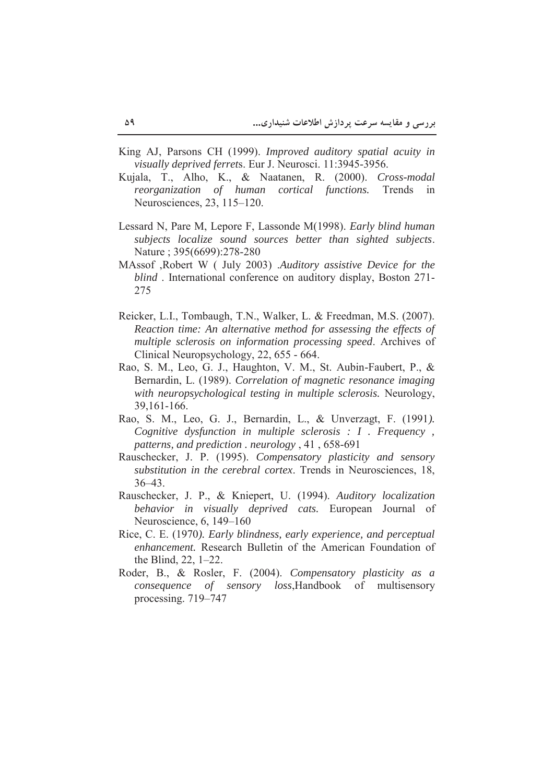- King AJ, Parsons CH (1999). *Improved auditory spatial acuity in visually deprived ferret*s. Eur J. Neurosci. 11:3945-3956.
- Kujala, T., Alho, K., & Naatanen, R. (2000). *Cross-modal reorganization of human cortical functions.* Trends in Neurosciences, 23, 115–120.
- Lessard N, Pare M, Lepore F, Lassonde M(1998). *Early blind human subjects localize sound sources better than sighted subjects*. Nature ; 395(6699):278-280
- MAssof ,Robert W ( July 2003) .*Auditory assistive Device for the blind* . International conference on auditory display, Boston 271- 275
- Reicker, L.I., Tombaugh, T.N., Walker, L. & Freedman, M.S. (2007). *Reaction time: An alternative method for assessing the effects of multiple sclerosis on information processing speed*. Archives of Clinical Neuropsychology, 22, 655 - 664.
- Rao, S. M., Leo, G. J., Haughton, V. M., St. Aubin-Faubert, P., & Bernardin, L. (1989). *Correlation of magnetic resonance imaging with neuropsychological testing in multiple sclerosis.* Neurology, 39,161-166.
- Rao, S. M., Leo, G. J., Bernardin, L., & Unverzagt, F. (1991*). Cognitive dysfunction in multiple sclerosis : I . Frequency , patterns, and prediction . neurology* , 41 , 658-691
- Rauschecker, J. P. (1995). *Compensatory plasticity and sensory substitution in the cerebral cortex*. Trends in Neurosciences, 18, 36–43.
- Rauschecker, J. P., & Kniepert, U. (1994). *Auditory localization behavior in visually deprived cats.* European Journal of Neuroscience, 6, 149–160
- Rice, C. E. (1970*). Early blindness, early experience, and perceptual enhancement.* Research Bulletin of the American Foundation of the Blind, 22, 1–22.
- Roder, B., & Rosler, F. (2004). *Compensatory plasticity as a consequence of sensory loss*,Handbook of multisensory processing. 719–747